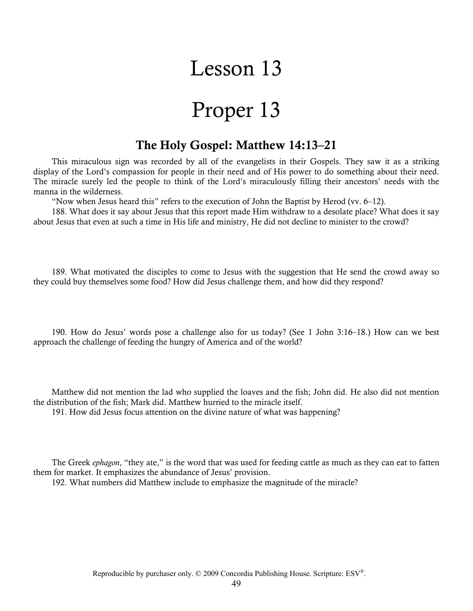# Lesson 13

# Proper 13

### **The Holy Gospel: Matthew 14:13–21**

This miraculous sign was recorded by all of the evangelists in their Gospels. They saw it as a striking display of the Lord's compassion for people in their need and of His power to do something about their need. The miracle surely led the people to think of the Lord's miraculously filling their ancestors' needs with the manna in the wilderness.

"Now when Jesus heard this" refers to the execution of John the Baptist by Herod (vv. 6–12).

188. What does it say about Jesus that this report made Him withdraw to a desolate place? What does it say about Jesus that even at such a time in His life and ministry, He did not decline to minister to the crowd?

189. What motivated the disciples to come to Jesus with the suggestion that He send the crowd away so they could buy themselves some food? How did Jesus challenge them, and how did they respond?

190. How do Jesus' words pose a challenge also for us today? (See 1 John 3:16–18.) How can we best approach the challenge of feeding the hungry of America and of the world?

Matthew did not mention the lad who supplied the loaves and the fish; John did. He also did not mention the distribution of the fish; Mark did. Matthew hurried to the miracle itself.

191. How did Jesus focus attention on the divine nature of what was happening?

The Greek *ephagon*, "they ate," is the word that was used for feeding cattle as much as they can eat to fatten them for market. It emphasizes the abundance of Jesus' provision.

192. What numbers did Matthew include to emphasize the magnitude of the miracle?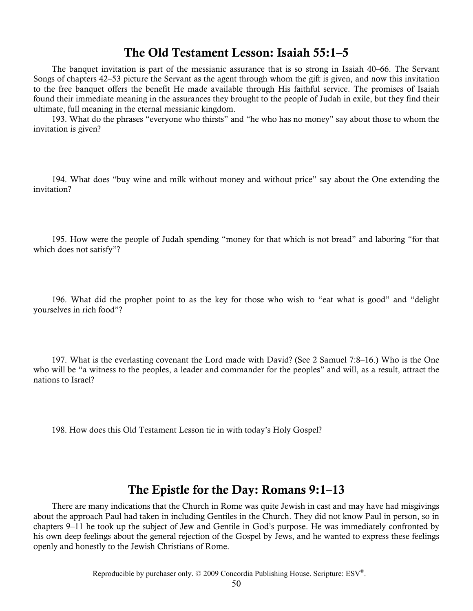### **The Old Testament Lesson: Isaiah 55:1–5**

The banquet invitation is part of the messianic assurance that is so strong in Isaiah 40–66. The Servant Songs of chapters 42–53 picture the Servant as the agent through whom the gift is given, and now this invitation to the free banquet offers the benefit He made available through His faithful service. The promises of Isaiah found their immediate meaning in the assurances they brought to the people of Judah in exile, but they find their ultimate, full meaning in the eternal messianic kingdom.

193. What do the phrases "everyone who thirsts" and "he who has no money" say about those to whom the invitation is given?

194. What does "buy wine and milk without money and without price" say about the One extending the invitation?

195. How were the people of Judah spending "money for that which is not bread" and laboring "for that which does not satisfy"?

196. What did the prophet point to as the key for those who wish to "eat what is good" and "delight yourselves in rich food"?

197. What is the everlasting covenant the Lord made with David? (See 2 Samuel 7:8–16.) Who is the One who will be "a witness to the peoples, a leader and commander for the peoples" and will, as a result, attract the nations to Israel?

198. How does this Old Testament Lesson tie in with today's Holy Gospel?

### **The Epistle for the Day: Romans 9:1–13**

There are many indications that the Church in Rome was quite Jewish in cast and may have had misgivings about the approach Paul had taken in including Gentiles in the Church. They did not know Paul in person, so in chapters 9–11 he took up the subject of Jew and Gentile in God's purpose. He was immediately confronted by his own deep feelings about the general rejection of the Gospel by Jews, and he wanted to express these feelings openly and honestly to the Jewish Christians of Rome.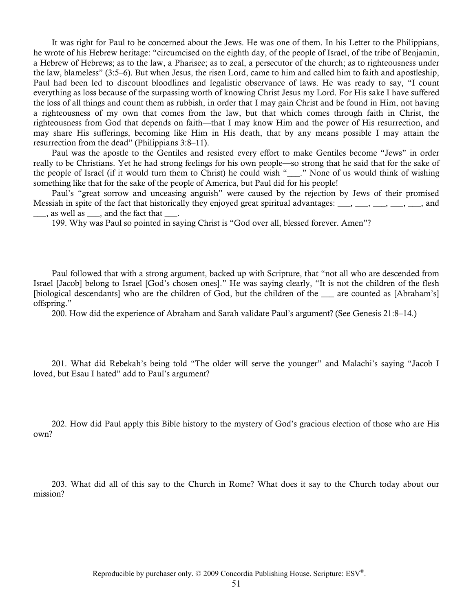It was right for Paul to be concerned about the Jews. He was one of them. In his Letter to the Philippians, he wrote of his Hebrew heritage: "circumcised on the eighth day, of the people of Israel, of the tribe of Benjamin, a Hebrew of Hebrews; as to the law, a Pharisee; as to zeal, a persecutor of the church; as to righteousness under the law, blameless" (3:5–6). But when Jesus, the risen Lord, came to him and called him to faith and apostleship, Paul had been led to discount bloodlines and legalistic observance of laws. He was ready to say, "I count everything as loss because of the surpassing worth of knowing Christ Jesus my Lord. For His sake I have suffered the loss of all things and count them as rubbish, in order that I may gain Christ and be found in Him, not having a righteousness of my own that comes from the law, but that which comes through faith in Christ, the righteousness from God that depends on faith—that I may know Him and the power of His resurrection, and may share His sufferings, becoming like Him in His death, that by any means possible I may attain the resurrection from the dead" (Philippians 3:8–11).

Paul was the apostle to the Gentiles and resisted every effort to make Gentiles become "Jews" in order really to be Christians. Yet he had strong feelings for his own people—so strong that he said that for the sake of the people of Israel (if it would turn them to Christ) he could wish "\_\_\_." None of us would think of wishing something like that for the sake of the people of America, but Paul did for his people!

Paul's "great sorrow and unceasing anguish" were caused by the rejection by Jews of their promised Messiah in spite of the fact that historically they enjoyed great spiritual advantages:  $\frac{1}{1}, \frac{1}{1}, \frac{1}{1}, \frac{1}{1}, \frac{1}{1}, \ldots, \frac{1}{1}$ , and  $\frac{1}{\sqrt{2}}$ , as well as  $\frac{1}{\sqrt{2}}$ , and the fact that

199. Why was Paul so pointed in saying Christ is "God over all, blessed forever. Amen"?

Paul followed that with a strong argument, backed up with Scripture, that "not all who are descended from Israel [Jacob] belong to Israel [God's chosen ones]." He was saying clearly, "It is not the children of the flesh [biological descendants] who are the children of God, but the children of the are counted as [Abraham's] offspring."

200. How did the experience of Abraham and Sarah validate Paul's argument? (See Genesis 21:8–14.)

201. What did Rebekah's being told "The older will serve the younger" and Malachi's saying "Jacob I loved, but Esau I hated" add to Paul's argument?

202. How did Paul apply this Bible history to the mystery of God's gracious election of those who are His own?

203. What did all of this say to the Church in Rome? What does it say to the Church today about our mission?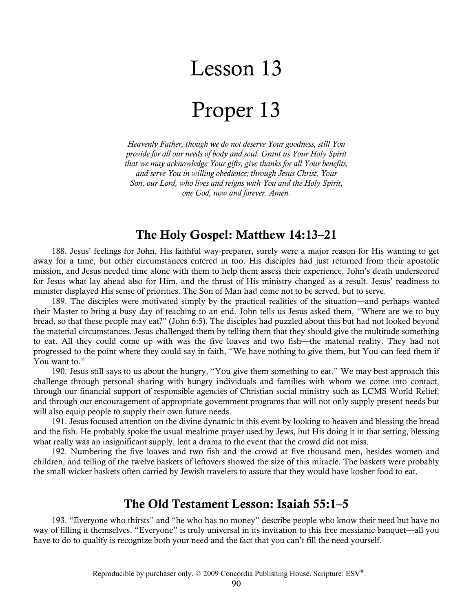## Lesson 13

## Proper 13

*Heavenly Father, though we do not deserve Your goodness, still You provide for all our needs of body and soul. Grant us Your Holy Spirit that we may acknowledge Your gifts, give thanks for all Your benefits, and serve You in willing obedience; through Jesus Christ, Your Son, our Lord, who lives and reigns with You and the Holy Spirit, one God, now and forever. Amen.* 

## **The Holy Gospel: Matthew 14:13–21**

188. Jesus' feelings for John, His faithful way-preparer, surely were a major reason for His wanting to get away for a time, but other circumstances entered in too. His disciples had just returned from their apostolic mission, and Jesus needed time alone with them to help them assess their experience. John's death underscored for Jesus what lay ahead also for Him, and the thrust of His ministry changed as a result. Jesus' readiness to minister displayed His sense of priorities. The Son of Man had come not to be served, but to serve.

189. The disciples were motivated simply by the practical realities of the situation—and perhaps wanted their Master to bring a busy day of teaching to an end. John tells us Jesus asked them, "Where are we to buy bread, so that these people may eat?" (John 6:5). The disciples had puzzled about this but had not looked beyond the material circumstances. Jesus challenged them by telling them that they should give the multitude something to eat. All they could come up with was the five loaves and two fish—the material reality. They had not progressed to the point where they could say in faith, "We have nothing to give them, but You can feed them if You want to."

190. Jesus still says to us about the hungry, "You give them something to eat." We may best approach this challenge through personal sharing with hungry individuals and families with whom we come into contact, through our financial support of responsible agencies of Christian social ministry such as LCMS World Relief, and through our encouragement of appropriate government programs that will not only supply present needs but will also equip people to supply their own future needs.

191. Jesus focused attention on the divine dynamic in this event by looking to heaven and blessing the bread and the fish. He probably spoke the usual mealtime prayer used by Jews, but His doing it in that setting, blessing what really was an insignificant supply, lent a drama to the event that the crowd did not miss.

192. Numbering the five loaves and two fish and the crowd at five thousand men, besides women and children, and telling of the twelve baskets of leftovers showed the size of this miracle. The baskets were probably the small wicker baskets often carried by Jewish travelers to assure that they would have kosher food to eat.

#### **The Old Testament Lesson: Isaiah 55:1–5**

193. "Everyone who thirsts" and "he who has no money" describe people who know their need but have no way of filling it themselves. "Everyone" is truly universal in its invitation to this free messianic banquet—all you have to do to qualify is recognize both your need and the fact that you can't fill the need yourself.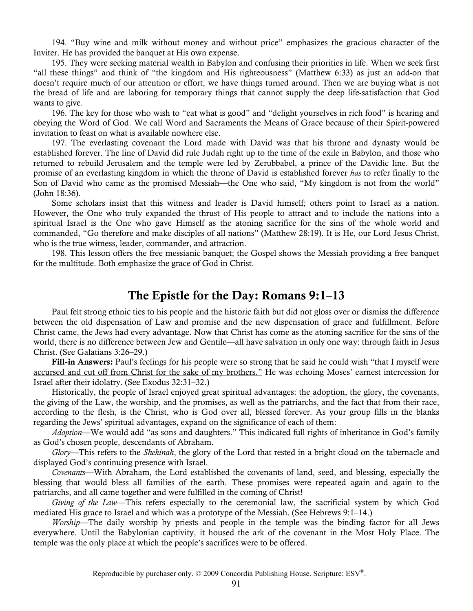194. "Buy wine and milk without money and without price" emphasizes the gracious character of the Inviter. He has provided the banquet at His own expense.

195. They were seeking material wealth in Babylon and confusing their priorities in life. When we seek first "all these things" and think of "the kingdom and His righteousness" (Matthew 6:33) as just an add-on that doesn't require much of our attention or effort, we have things turned around. Then we are buying what is not the bread of life and are laboring for temporary things that cannot supply the deep life-satisfaction that God wants to give.

196. The key for those who wish to "eat what is good" and "delight yourselves in rich food" is hearing and obeying the Word of God. We call Word and Sacraments the Means of Grace because of their Spirit-powered invitation to feast on what is available nowhere else.

197. The everlasting covenant the Lord made with David was that his throne and dynasty would be established forever. The line of David did rule Judah right up to the time of the exile in Babylon, and those who returned to rebuild Jerusalem and the temple were led by Zerubbabel, a prince of the Davidic line. But the promise of an everlasting kingdom in which the throne of David is established forever *has* to refer finally to the Son of David who came as the promised Messiah—the One who said, "My kingdom is not from the world" (John 18:36).

Some scholars insist that this witness and leader is David himself; others point to Israel as a nation. However, the One who truly expanded the thrust of His people to attract and to include the nations into a spiritual Israel is the One who gave Himself as the atoning sacrifice for the sins of the whole world and commanded, "Go therefore and make disciples of all nations" (Matthew 28:19). It is He, our Lord Jesus Christ, who is the true witness, leader, commander, and attraction.

198. This lesson offers the free messianic banquet; the Gospel shows the Messiah providing a free banquet for the multitude. Both emphasize the grace of God in Christ.

### **The Epistle for the Day: Romans 9:1–13**

Paul felt strong ethnic ties to his people and the historic faith but did not gloss over or dismiss the difference between the old dispensation of Law and promise and the new dispensation of grace and fulfillment. Before Christ came, the Jews had every advantage. Now that Christ has come as the atoning sacrifice for the sins of the world, there is no difference between Jew and Gentile—all have salvation in only one way: through faith in Jesus Christ. (See Galatians 3:26–29.)

**Fill-in Answers:** Paul's feelings for his people were so strong that he said he could wish "that I myself were accursed and cut off from Christ for the sake of my brothers." He was echoing Moses' earnest intercession for Israel after their idolatry. (See Exodus 32:31–32.)

Historically, the people of Israel enjoyed great spiritual advantages: the adoption, the glory, the covenants, the giving of the Law, the worship, and the promises, as well as the patriarchs, and the fact that from their race, according to the flesh, is the Christ, who is God over all, blessed forever. As your group fills in the blanks regarding the Jews' spiritual advantages, expand on the significance of each of them:

*Adoption*—We would add "as sons and daughters." This indicated full rights of inheritance in God's family as God's chosen people, descendants of Abraham.

*Glory*—This refers to the *Shekinah*, the glory of the Lord that rested in a bright cloud on the tabernacle and displayed God's continuing presence with Israel.

*Covenants*—With Abraham, the Lord established the covenants of land, seed, and blessing, especially the blessing that would bless all families of the earth. These promises were repeated again and again to the patriarchs, and all came together and were fulfilled in the coming of Christ!

*Giving of the Law*—This refers especially to the ceremonial law, the sacrificial system by which God mediated His grace to Israel and which was a prototype of the Messiah. (See Hebrews 9:1–14.)

*Worship*—The daily worship by priests and people in the temple was the binding factor for all Jews everywhere. Until the Babylonian captivity, it housed the ark of the covenant in the Most Holy Place. The temple was the only place at which the people's sacrifices were to be offered.